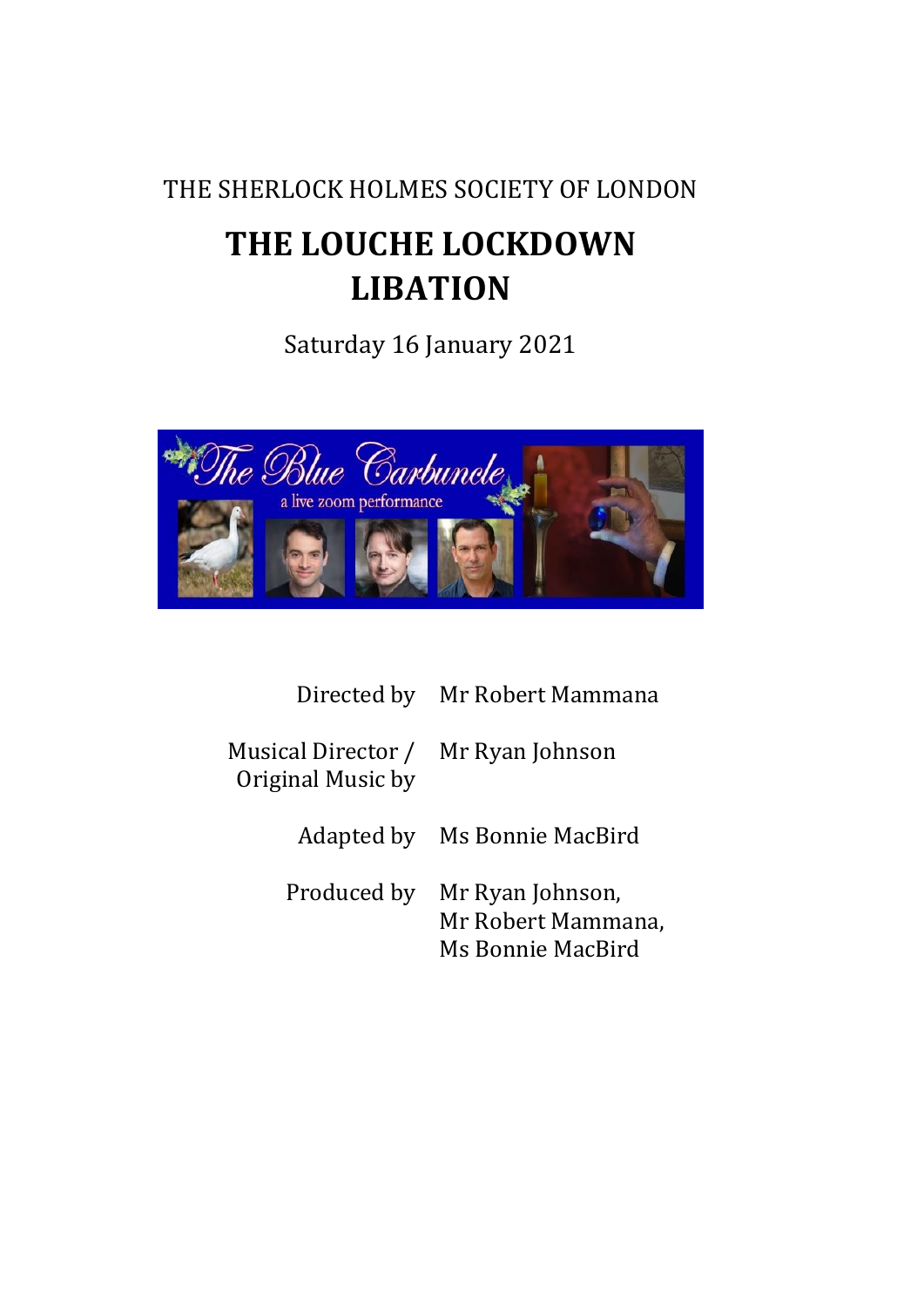# THE SHERLOCK HOLMES SOCIETY OF LONDON

# **THE LOUCHE LOCKDOWN LIBATION**

Saturday 16 January 2021



|                                                         | Directed by Mr Robert Mammana                               |
|---------------------------------------------------------|-------------------------------------------------------------|
| Musical Director / Mr Ryan Johnson<br>Original Music by |                                                             |
|                                                         | Adapted by Ms Bonnie MacBird                                |
| Produced by                                             | Mr Ryan Johnson,<br>Mr Robert Mammana,<br>Ms Bonnie MacBird |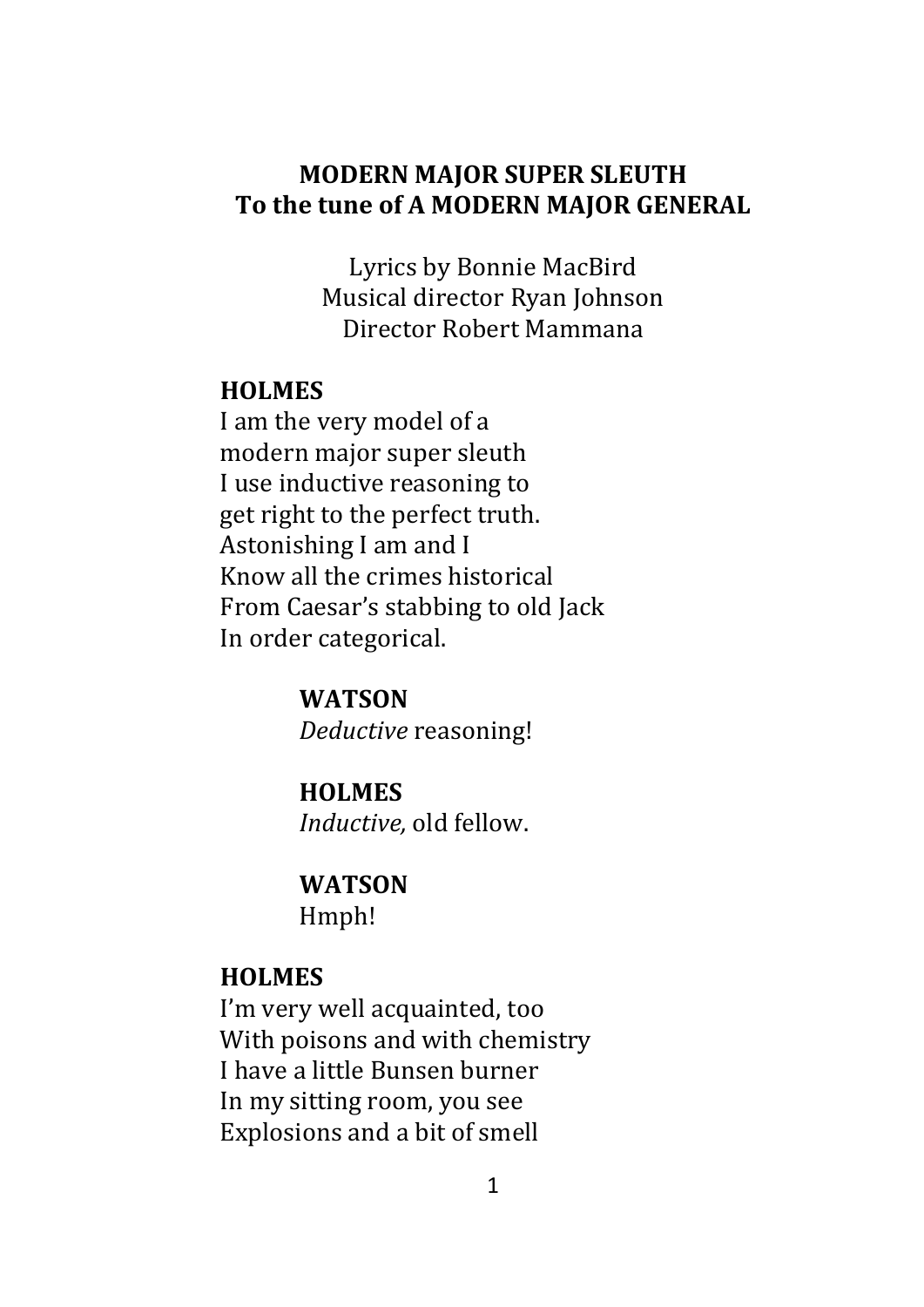#### **MODERN MAJOR SUPER SLEUTH To the tune of A MODERN MAJOR GENERAL**

Lyrics by Bonnie MacBird Musical director Ryan Johnson Director Robert Mammana

#### **HOLMES**

I am the very model of a modern major super sleuth I use inductive reasoning to get right to the perfect truth. Astonishing I am and I Know all the crimes historical From Caesar's stabbing to old Jack In order categorical.

> **WATSON** *Deductive* reasoning!

**HOLMES** *Inductive,* old fellow.

**WATSON** Hmph!

#### **HOLMES**

I'm very well acquainted, too With poisons and with chemistry I have a little Bunsen burner In my sitting room, you see Explosions and a bit of smell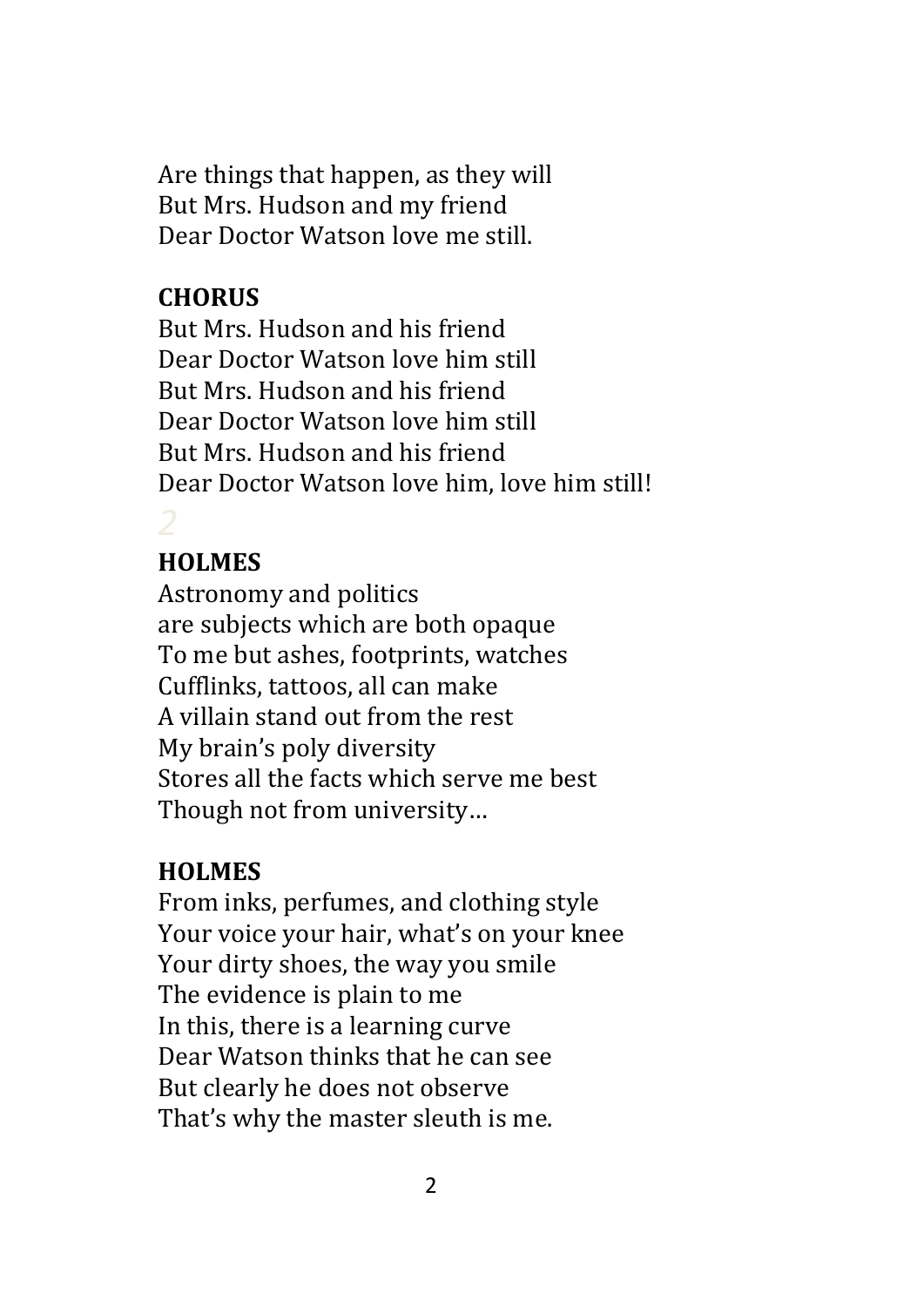Are things that happen, as they will But Mrs. Hudson and my friend Dear Doctor Watson love me still.

# **CHORUS**

But Mrs. Hudson and his friend Dear Doctor Watson love him still But Mrs. Hudson and his friend Dear Doctor Watson love him still But Mrs. Hudson and his friend Dear Doctor Watson love him, love him still!

# **HOLMES**

Astronomy and politics are subjects which are both opaque To me but ashes, footprints, watches Cufflinks, tattoos, all can make A villain stand out from the rest My brain's poly diversity Stores all the facts which serve me best Though not from university…

# **HOLMES**

From inks, perfumes, and clothing style Your voice your hair, what's on your knee Your dirty shoes, the way you smile The evidence is plain to me In this, there is a learning curve Dear Watson thinks that he can see But clearly he does not observe That's why the master sleuth is me.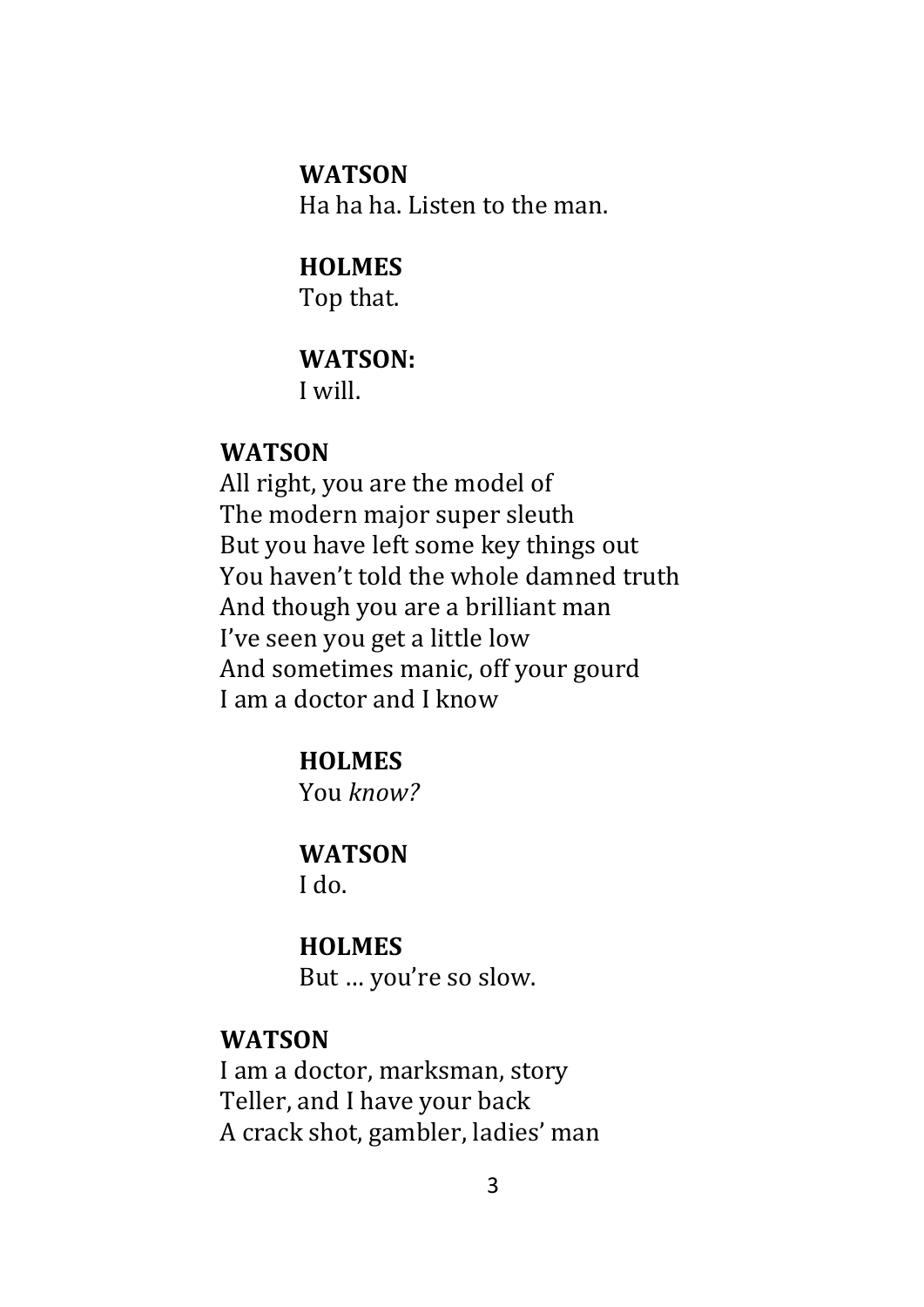#### **WATSON**

Ha ha ha. Listen to the man.

# **HOLMES**

Top that.

## **WATSON:**

I will.

#### **WATSON**

All right, you are the model of The modern major super sleuth But you have left some key things out You haven't told the whole damned truth And though you are a brilliant man I've seen you get a little low And sometimes manic, off your gourd I am a doctor and I know

## **HOLMES**

You *know?*

#### **WATSON**

I do.

#### **HOLMES**

But … you're so slow.

#### **WATSON**

I am a doctor, marksman, story Teller, and I have your back A crack shot, gambler, ladies' man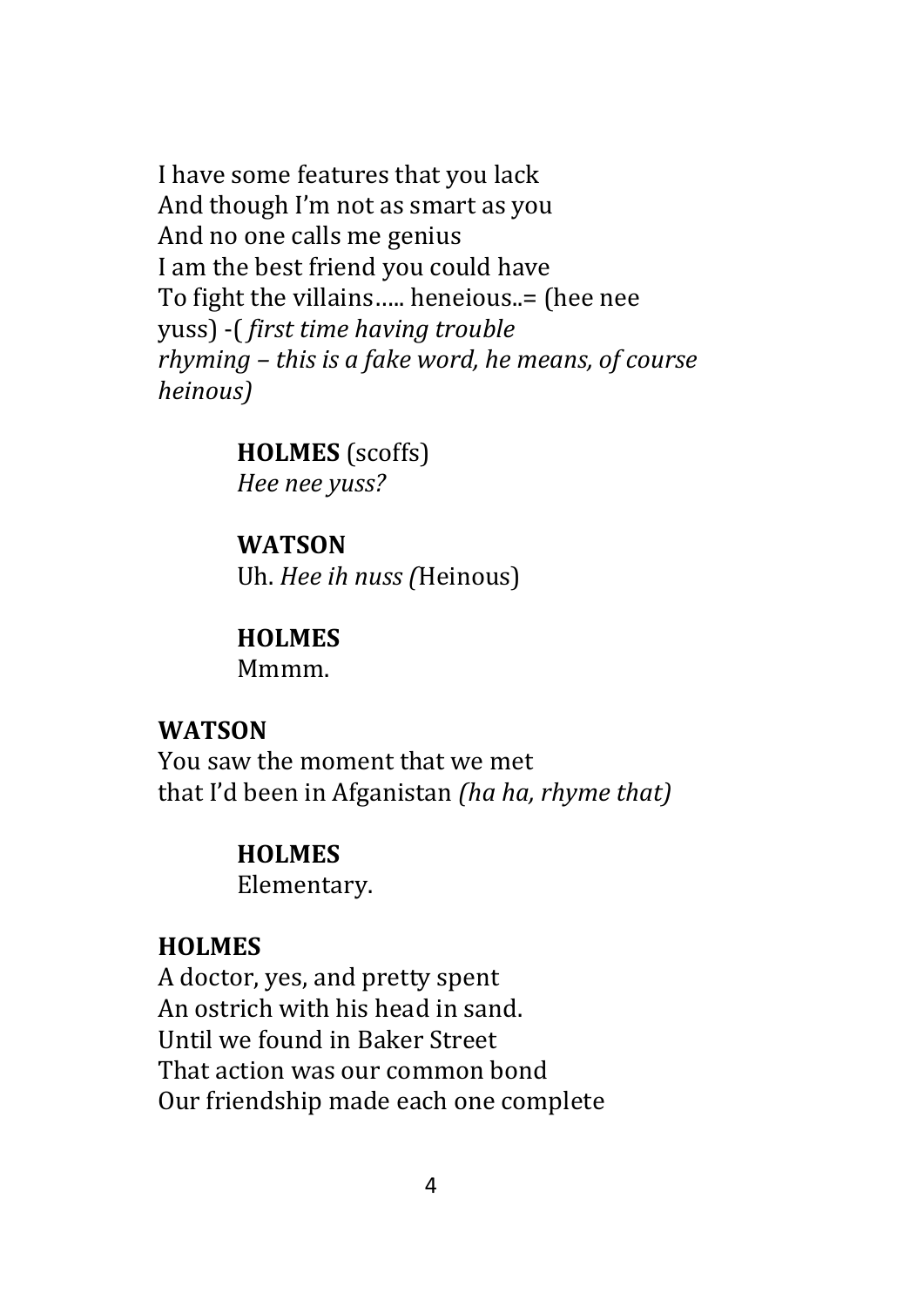I have some features that you lack And though I'm not as smart as you And no one calls me genius I am the best friend you could have To fight the villains….. heneious..= (hee nee yuss) -( *first time having trouble rhyming – this is a fake word, he means, of course heinous)*

#### **HOLMES** (scoffs)

*Hee nee yuss?*

#### **WATSON**

Uh. *Hee ih nuss (*Heinous)

#### **HOLMES**

Mmmm.

#### **WATSON**

You saw the moment that we met that I'd been in Afganistan *(ha ha, rhyme that)*

#### **HOLMES**

Elementary.

#### **HOLMES**

A doctor, yes, and pretty spent An ostrich with his head in sand. Until we found in Baker Street That action was our common bond Our friendship made each one complete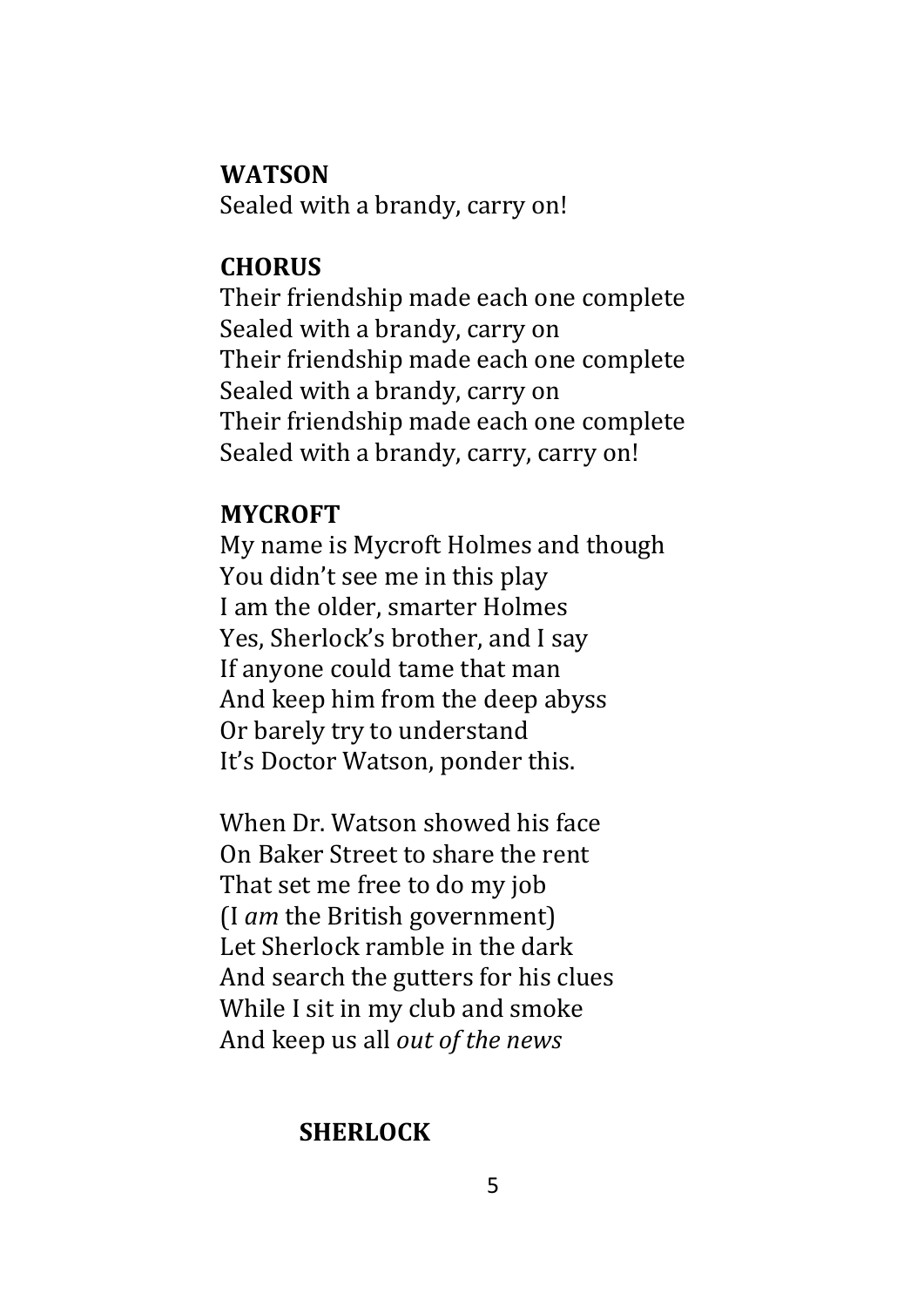#### **WATSON**

Sealed with a brandy, carry on!

#### **CHORUS**

Their friendship made each one complete Sealed with a brandy, carry on Their friendship made each one complete Sealed with a brandy, carry on Their friendship made each one complete Sealed with a brandy, carry, carry on!

#### **MYCROFT**

My name is Mycroft Holmes and though You didn't see me in this play I am the older, smarter Holmes Yes, Sherlock's brother, and I say If anyone could tame that man And keep him from the deep abyss Or barely try to understand It's Doctor Watson, ponder this.

When Dr. Watson showed his face On Baker Street to share the rent That set me free to do my job (I *am* the British government) Let Sherlock ramble in the dark And search the gutters for his clues While I sit in my club and smoke And keep us all *out of the news*

## **SHERLOCK**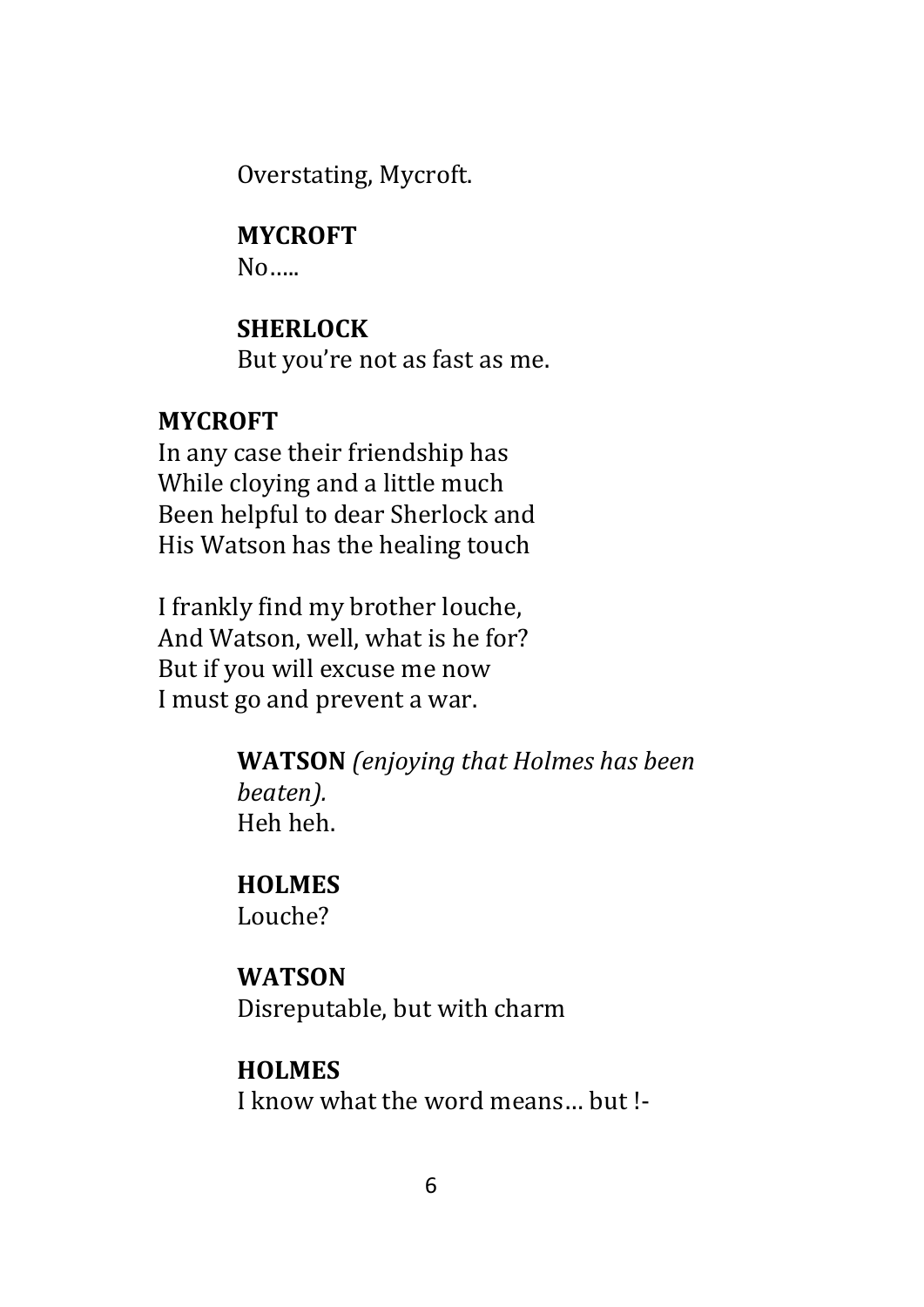Overstating, Mycroft.

## **MYCROFT**

No…..

## **SHERLOCK**

But you're not as fast as me.

## **MYCROFT**

In any case their friendship has While cloying and a little much Been helpful to dear Sherlock and His Watson has the healing touch

I frankly find my brother louche, And Watson, well, what is he for? But if you will excuse me now I must go and prevent a war.

> **WATSON** *(enjoying that Holmes has been beaten).* Heh heh.

#### **HOLMES**

Louche?

## **WATSON**

Disreputable, but with charm

## **HOLMES**

I know what the word means… but !-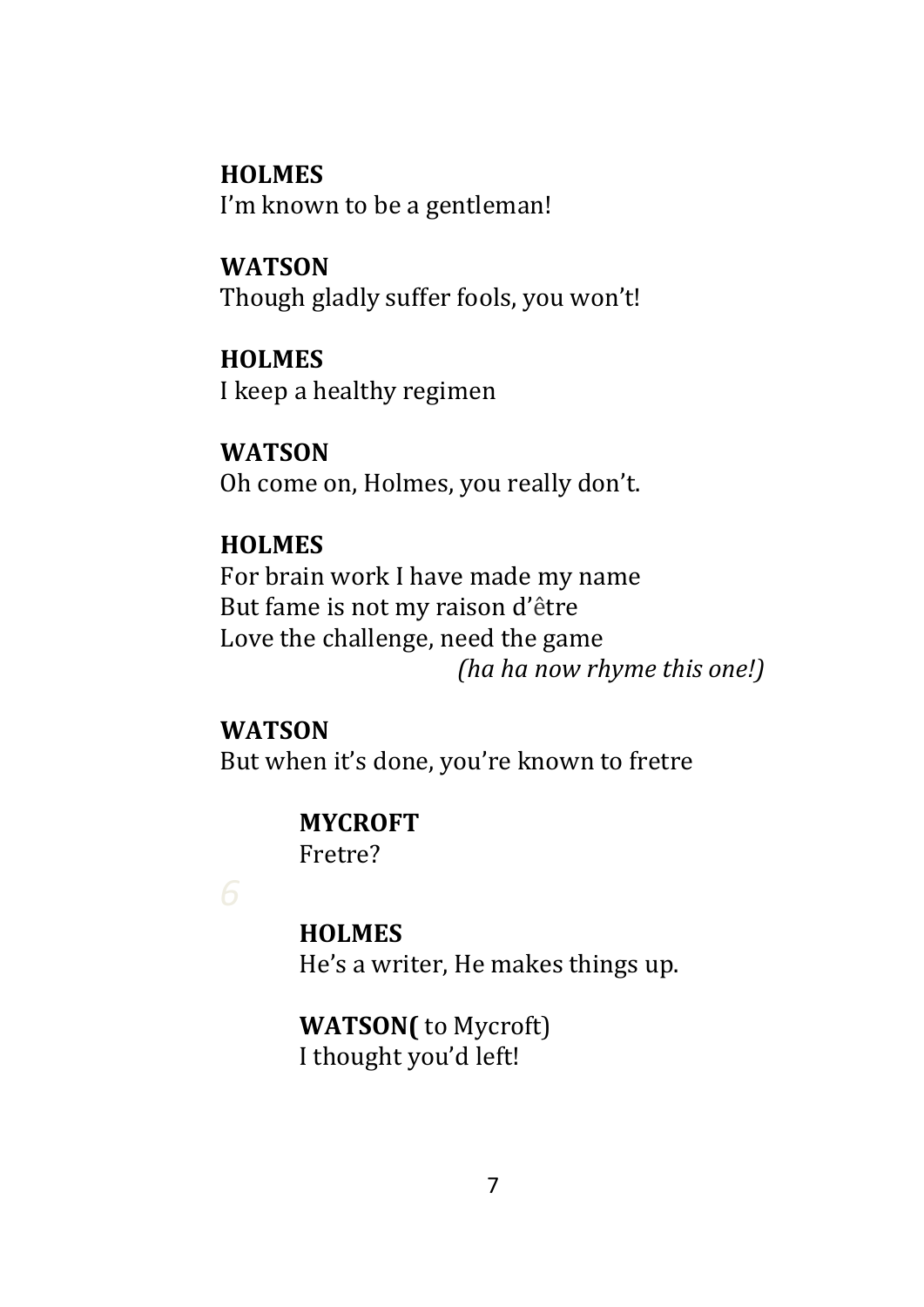**HOLMES**  I'm known to be a gentleman!

**WATSON** Though gladly suffer fools, you won't!

**HOLMES**  I keep a healthy regimen

**WATSON**  Oh come on, Holmes, you really don't.

## **HOLMES**

For brain work I have made my name But fame is not my raison d'être Love the challenge, need the game *(ha ha now rhyme this one!)*

**WATSON**  But when it's done, you're known to fretre

# **MYCROFT**

Fretre?

**HOLMES**

He's a writer, He makes things up.

**WATSON(** to Mycroft) I thought you'd left!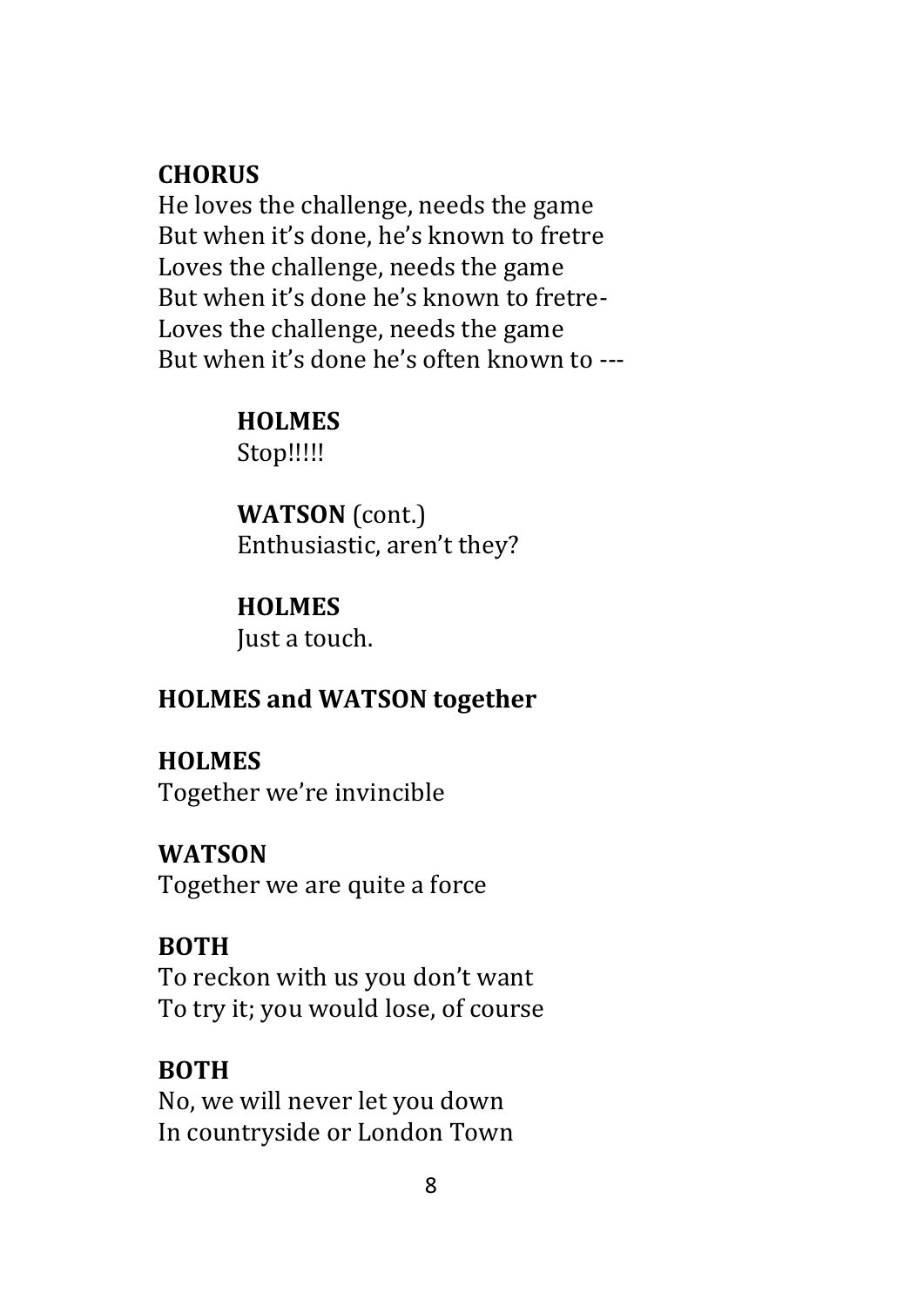## **CHORUS**

He loves the challenge, needs the game But when it's done, he's known to fretre Loves the challenge, needs the game But when it's done he's known to fretre-Loves the challenge, needs the game But when it's done he's often known to ---

## **HOLMES**

Stop!!!!!

**WATSON** (cont.) Enthusiastic, aren't they?

# **HOLMES**

Just a touch.

# **HOLMES and WATSON together**

# **HOLMES**

Together we're invincible

# **WATSON**

Together we are quite a force

# **BOTH**

To reckon with us you don't want To try it; you would lose, of course

# **BOTH**

No, we will never let you down In countryside or London Town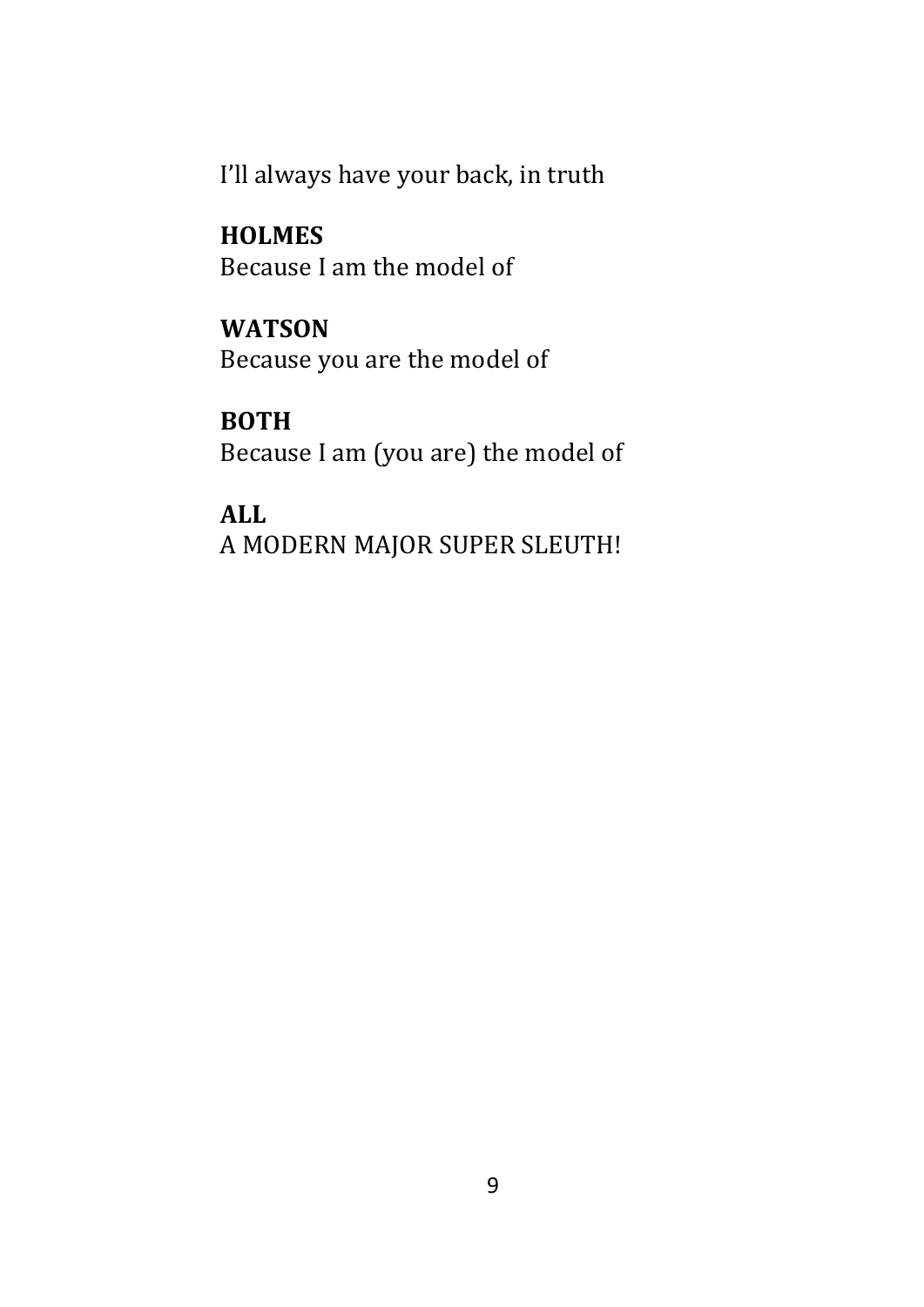I'll always have your back, in truth

**HOLMES**  Because I am the model of

**WATSON** 

Because you are the model of

**BOTH**  Because I am (you are) the model of

**ALL** A MODERN MAJOR SUPER SLEUTH!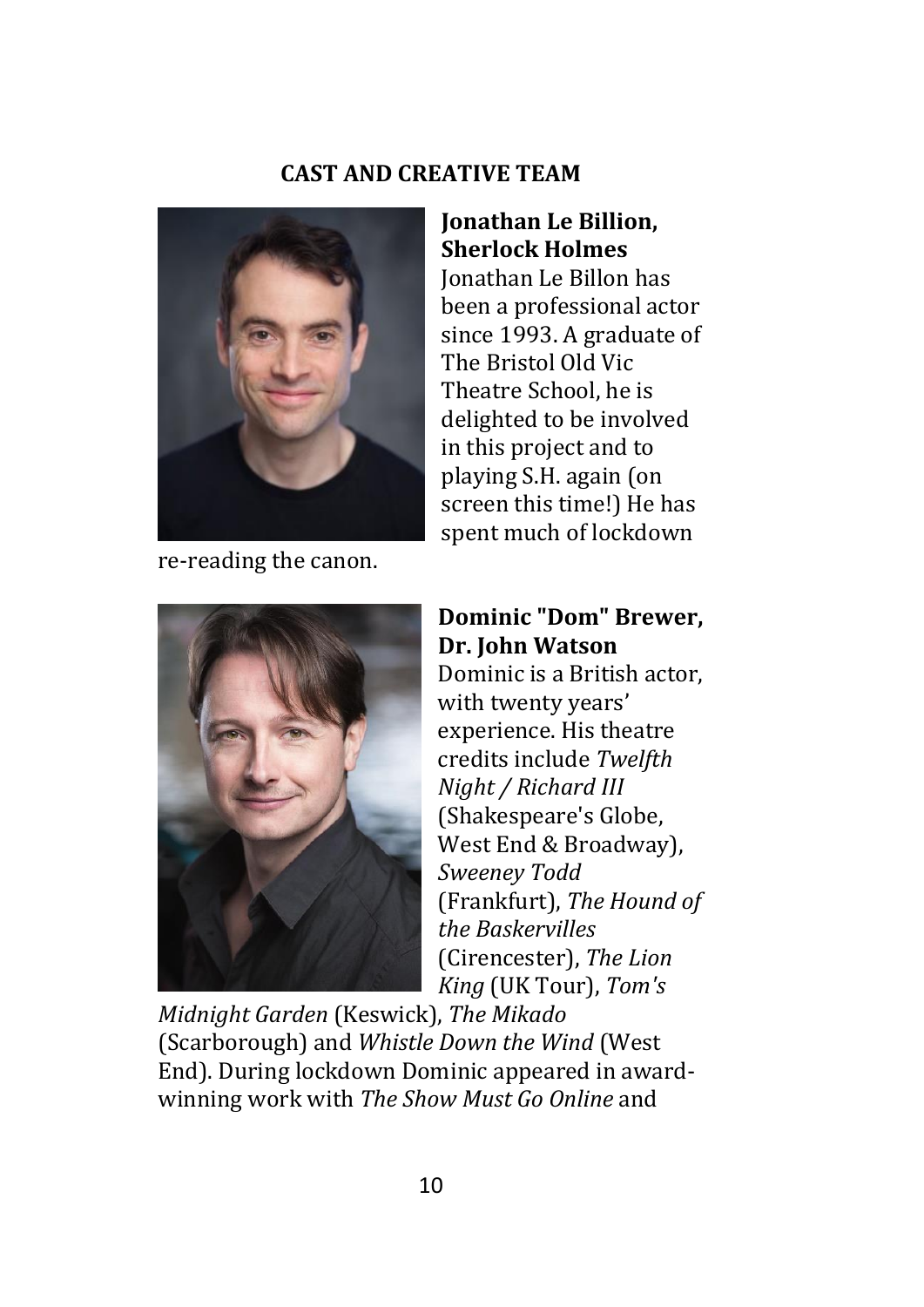#### **CAST AND CREATIVE TEAM**



re-reading the canon.

#### **Jonathan Le Billion, Sherlock Holmes**

Jonathan Le Billon has been a professional actor since 1993. A graduate of The Bristol Old Vic Theatre School, he is delighted to be involved in this project and to playing S.H. again (on screen this time!) He has spent much of lockdown



#### **Dominic "Dom" Brewer, Dr. John Watson** Dominic is a British actor, with twenty years' experience. His theatre credits include *Twelfth Night / Richard III* (Shakespeare's Globe, West End & Broadway), *Sweeney Todd* (Frankfurt), *The Hound of the Baskervilles* (Cirencester), *The Lion*

*King* (UK Tour), *Tom's Midnight Garden* (Keswick), *The Mikado* (Scarborough) and *Whistle Down the Wind* (West End). During lockdown Dominic appeared in awardwinning work with *The Show Must Go Online* and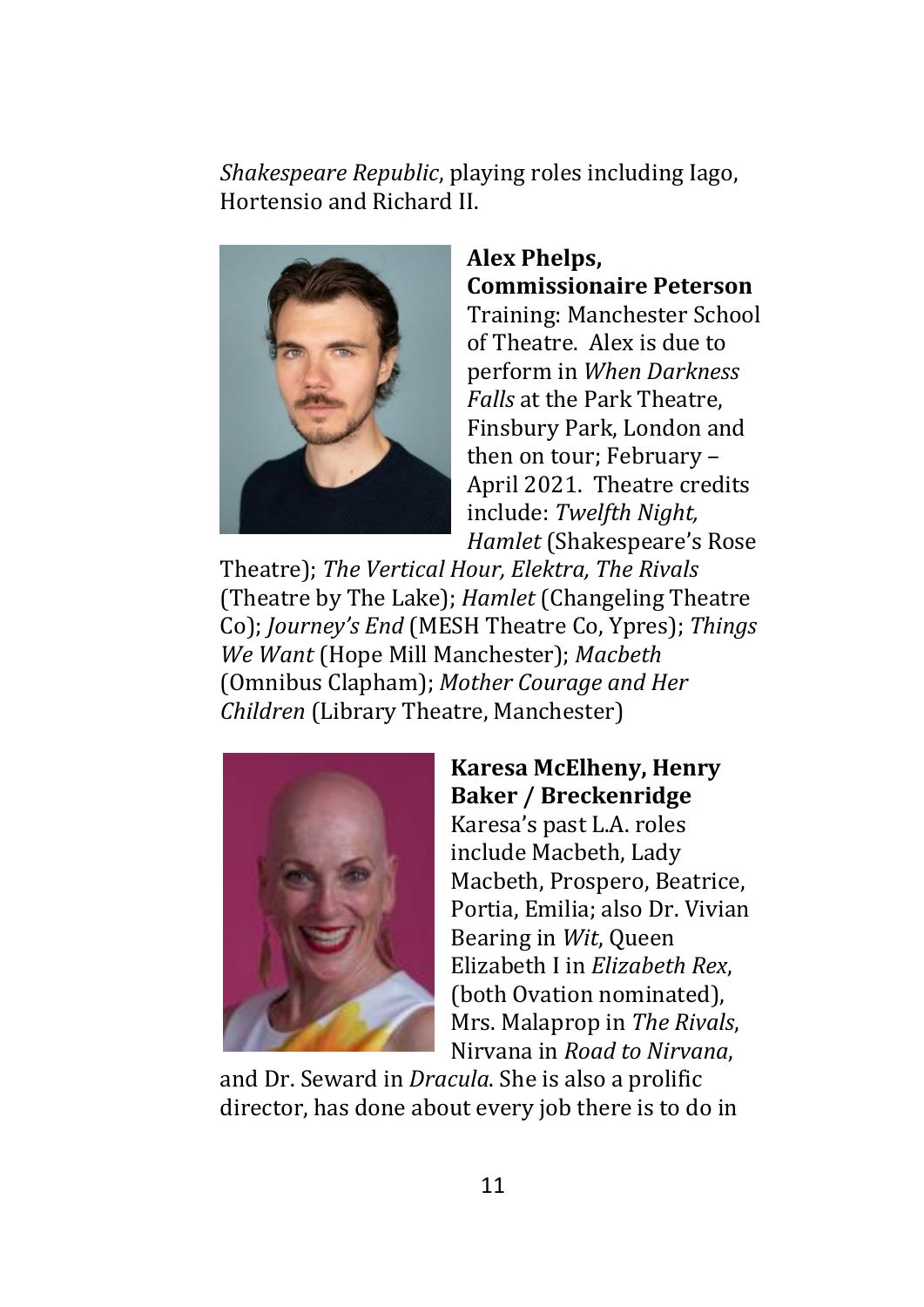*Shakespeare Republic*, playing roles including Iago, Hortensio and Richard II.



**Alex Phelps, Commissionaire Peterson** Training: Manchester School of Theatre. Alex is due to

perform in *When Darkness Falls* at the Park Theatre, Finsbury Park, London and then on tour; February – April 2021. Theatre credits include: *Twelfth Night, Hamlet* (Shakespeare's Rose

Theatre); *The Vertical Hour, Elektra, The Rivals* (Theatre by The Lake); *Hamlet* (Changeling Theatre Co); *Journey's End* (MESH Theatre Co, Ypres); *Things We Want* (Hope Mill Manchester); *Macbeth* (Omnibus Clapham); *Mother Courage and Her Children* (Library Theatre, Manchester)



#### **Karesa McElheny, Henry Baker / Breckenridge**

Karesa's past L.A. roles include Macbeth, Lady Macbeth, Prospero, Beatrice, Portia, Emilia; also Dr. Vivian Bearing in *Wit*, Queen Elizabeth I in *Elizabeth Rex*, (both Ovation nominated), Mrs. Malaprop in *The Rivals*, Nirvana in *Road to Nirvana*,

and Dr. Seward in *Dracula*. She is also a prolific director, has done about every job there is to do in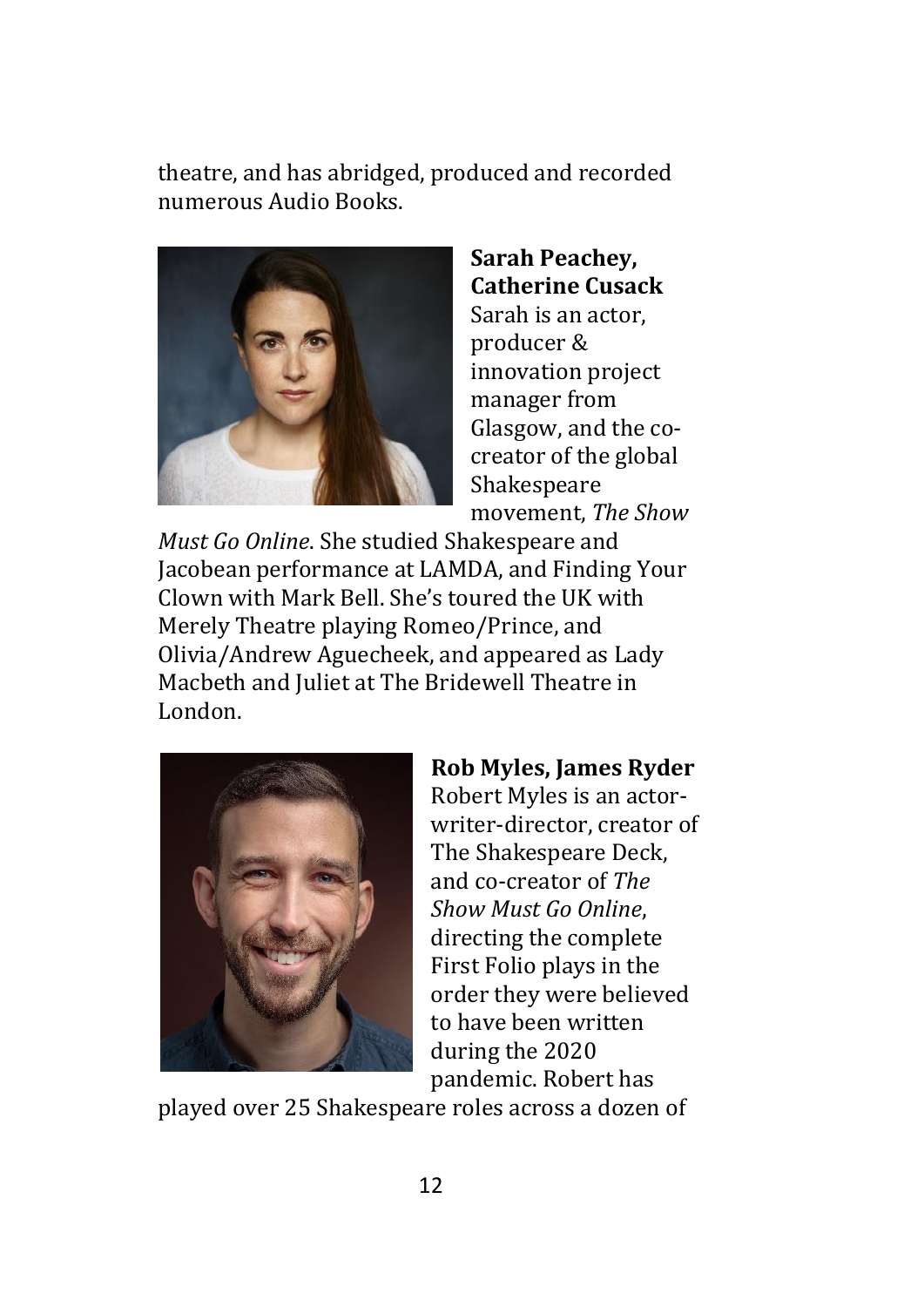theatre, and has abridged, produced and recorded numerous Audio Books.



**Sarah Peachey, Catherine Cusack** Sarah is an actor, producer & innovation project manager from Glasgow, and the cocreator of the global Shakespeare movement, *The Show* 

*Must Go Online*. She studied Shakespeare and Jacobean performance at LAMDA, and Finding Your Clown with Mark Bell. She's toured the UK with Merely Theatre playing Romeo/Prince, and Olivia/Andrew Aguecheek, and appeared as Lady Macbeth and Juliet at The Bridewell Theatre in London.



## **Rob Myles, James Ryder**

Robert Myles is an actorwriter-director, creator of The Shakespeare Deck, and co-creator of *The Show Must Go Online*, directing the complete First Folio plays in the order they were believed to have been written during the 2020 pandemic. Robert has

played over 25 Shakespeare roles across a dozen of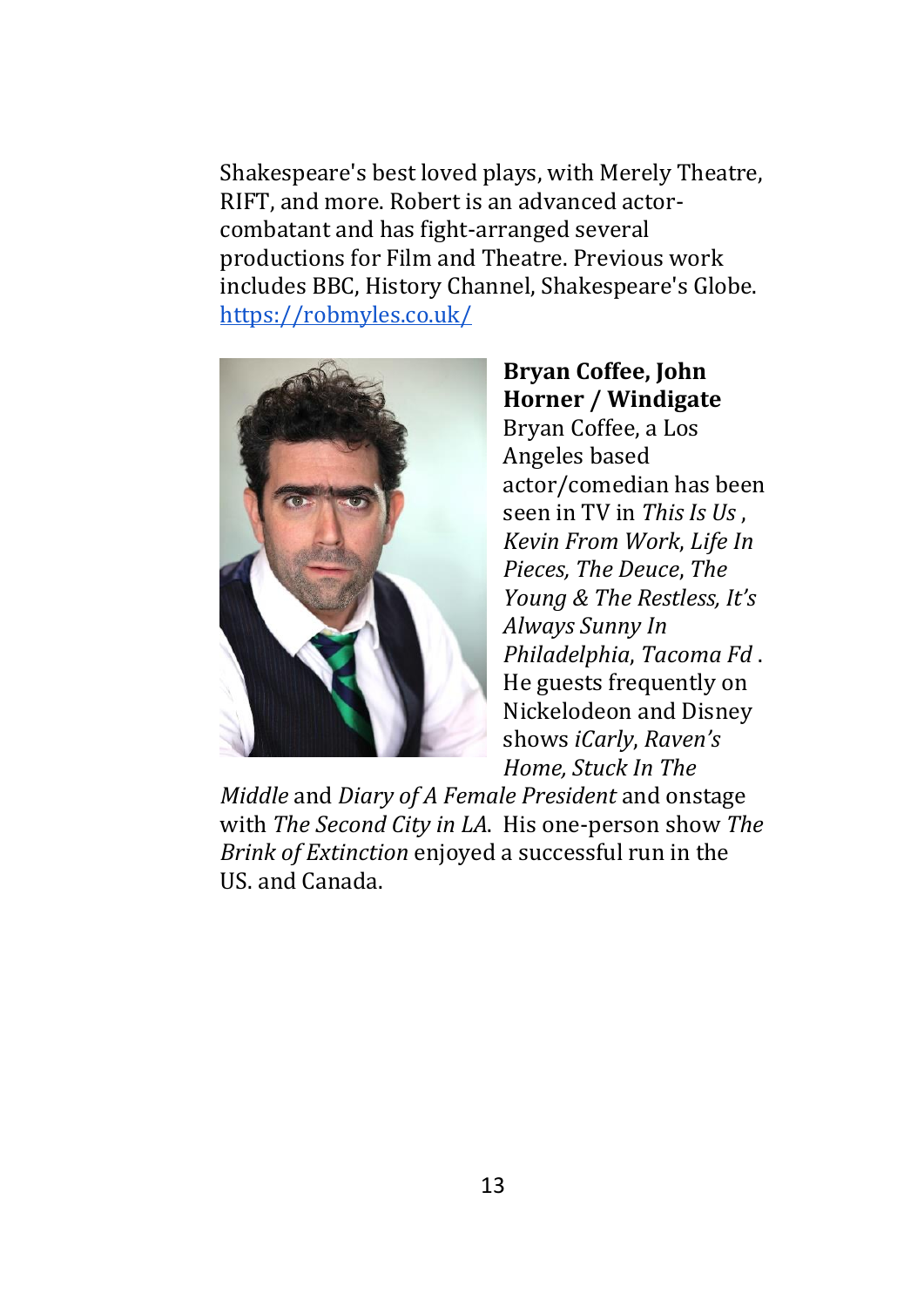Shakespeare's best loved plays, with Merely Theatre, RIFT, and more. Robert is an advanced actorcombatant and has fight-arranged several productions for Film and Theatre. Previous work includes BBC, History Channel, Shakespeare's Globe. <https://robmyles.co.uk/>



**Bryan Coffee, John Horner / Windigate** Bryan Coffee, a Los Angeles based actor/comedian has been seen in TV in *This Is Us* , *Kevin From Work*, *Life In Pieces, The Deuce*, *The Young & The Restless, It's Always Sunny In Philadelphia*, *Tacoma Fd* . He guests frequently on Nickelodeon and Disney shows *iCarly*, *Raven's Home, Stuck In The* 

*Middle* and *Diary of A Female President* and onstage with *The Second City in LA*. His one-person show *The Brink of Extinction* enjoyed a successful run in the US. and Canada.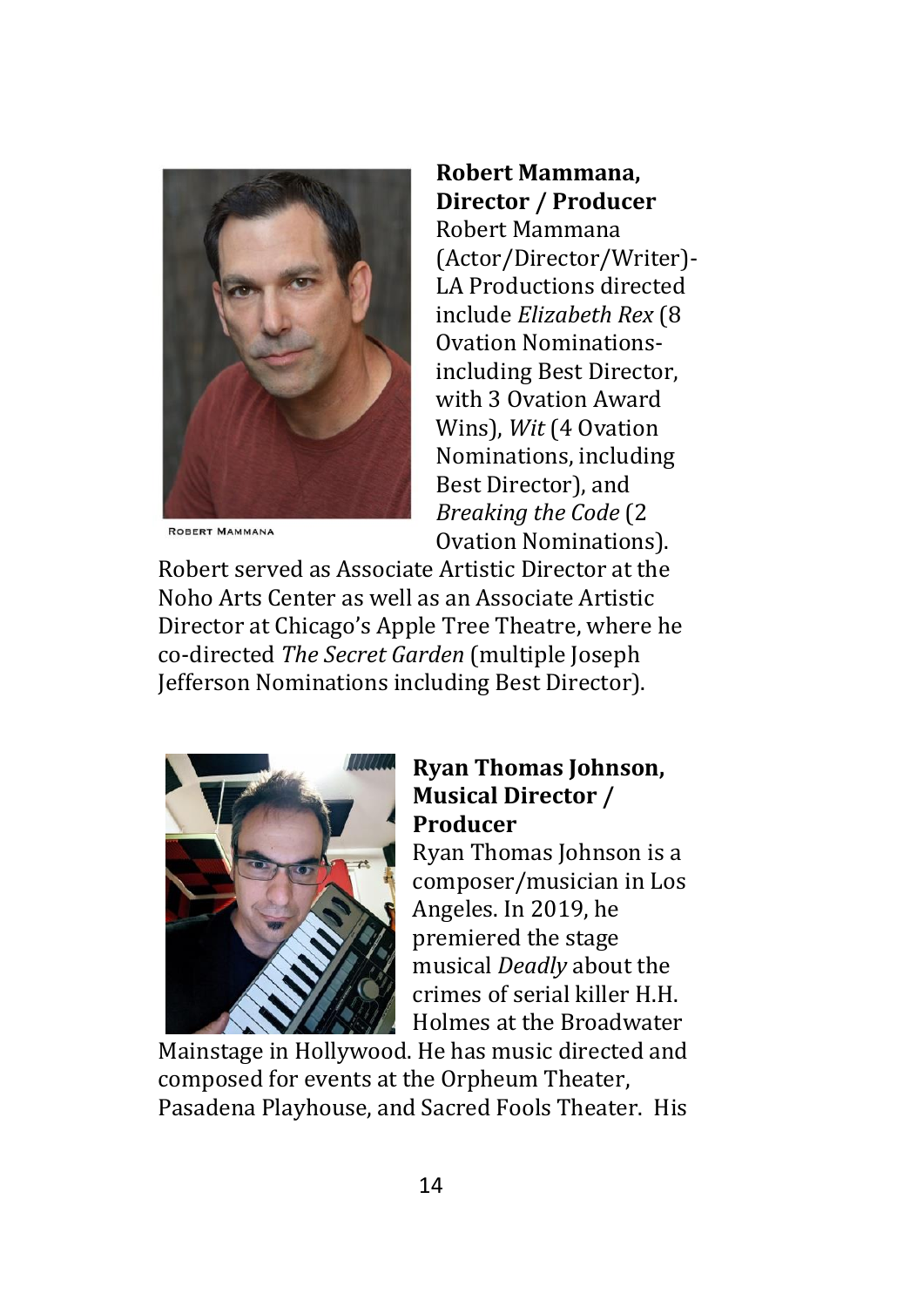

**ROBERT MAMMANA** 

#### **Robert Mammana, Director / Producer**

Robert Mammana (Actor/Director/Writer)- LA Productions directed include *Elizabeth Rex* (8 Ovation Nominationsincluding Best Director, with 3 Ovation Award Wins), *Wit* (4 Ovation Nominations, including Best Director), and *Breaking the Code* (2 Ovation Nominations).

Robert served as Associate Artistic Director at the Noho Arts Center as well as an Associate Artistic Director at Chicago's Apple Tree Theatre, where he co-directed *The Secret Garden* (multiple Joseph Jefferson Nominations including Best Director).



#### **Ryan Thomas Johnson, Musical Director / Producer**

Ryan Thomas Johnson is a composer/musician in Los Angeles. In 2019, he premiered the stage musical *Deadly* about the crimes of serial killer H.H. Holmes at the Broadwater

Mainstage in Hollywood. He has music directed and composed for events at the Orpheum Theater, Pasadena Playhouse, and Sacred Fools Theater. His